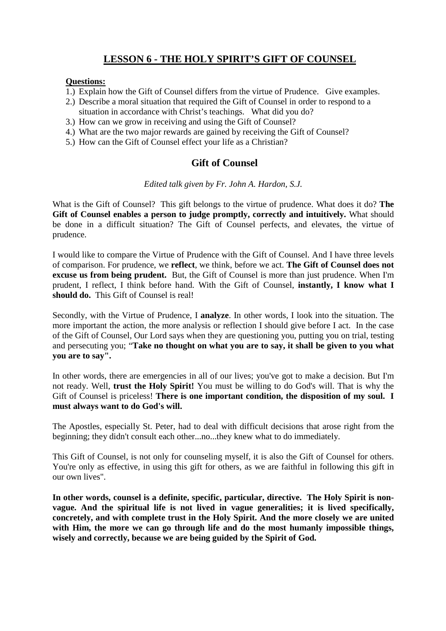## **LESSON 6 - THE HOLY SPIRIT'S GIFT OF COUNSEL**

#### **Questions:**

- 1.) Explain how the Gift of Counsel differs from the virtue of Prudence. Give examples.
- 2.) Describe a moral situation that required the Gift of Counsel in order to respond to a situation in accordance with Christ's teachings. What did you do?
- 3.) How can we grow in receiving and using the Gift of Counsel?
- 4.) What are the two major rewards are gained by receiving the Gift of Counsel?
- 5.) How can the Gift of Counsel effect your life as a Christian?

## **Gift of Counsel**

#### *Edited talk given by Fr. John A. Hardon, S.J.*

What is the Gift of Counsel? This gift belongs to the virtue of prudence. What does it do? **The**  Gift of Counsel enables a person to judge promptly, correctly and intuitively. What should be done in a difficult situation? The Gift of Counsel perfects, and elevates, the virtue of prudence.

I would like to compare the Virtue of Prudence with the Gift of Counsel. And I have three levels of comparison. For prudence, we **reflect**, we think, before we act. **The Gift of Counsel does not excuse us from being prudent.** But, the Gift of Counsel is more than just prudence. When I'm prudent, I reflect, I think before hand. With the Gift of Counsel, **instantly, I know what I should do.** This Gift of Counsel is real!

Secondly, with the Virtue of Prudence, I **analyze**. In other words, I look into the situation. The more important the action, the more analysis or reflection I should give before I act. In the case of the Gift of Counsel, Our Lord says when they are questioning you, putting you on trial, testing and persecuting you; "**Take no thought on what you are to say, it shall be given to you what you are to say".** 

In other words, there are emergencies in all of our lives; you've got to make a decision. But I'm not ready. Well, **trust the Holy Spirit!** You must be willing to do God's will. That is why the Gift of Counsel is priceless! **There is one important condition, the disposition of my soul. I must always want to do God's will.**

The Apostles, especially St. Peter, had to deal with difficult decisions that arose right from the beginning; they didn't consult each other...no...they knew what to do immediately.

This Gift of Counsel, is not only for counseling myself, it is also the Gift of Counsel for others. You're only as effective, in using this gift for others, as we are faithful in following this gift in our own lives".

**In other words, counsel is a definite, specific, particular, directive. The Holy Spirit is nonvague. And the spiritual life is not lived in vague generalities; it is lived specifically, concretely, and with complete trust in the Holy Spirit. And the more closely we are united with Him, the more we can go through life and do the most humanly impossible things, wisely and correctly, because we are being guided by the Spirit of God.**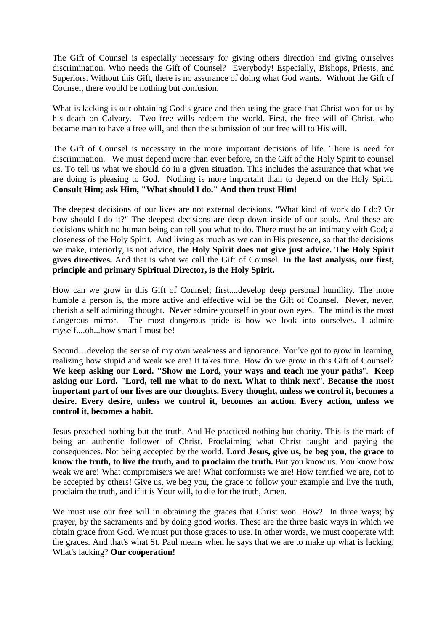The Gift of Counsel is especially necessary for giving others direction and giving ourselves discrimination. Who needs the Gift of Counsel? Everybody! Especially, Bishops, Priests, and Superiors. Without this Gift, there is no assurance of doing what God wants. Without the Gift of Counsel, there would be nothing but confusion.

What is lacking is our obtaining God's grace and then using the grace that Christ won for us by his death on Calvary. Two free wills redeem the world. First, the free will of Christ, who became man to have a free will, and then the submission of our free will to His will.

The Gift of Counsel is necessary in the more important decisions of life. There is need for discrimination. We must depend more than ever before, on the Gift of the Holy Spirit to counsel us. To tell us what we should do in a given situation. This includes the assurance that what we are doing is pleasing to God. Nothing is more important than to depend on the Holy Spirit. **Consult Him; ask Him, "What should I do." And then trust Him!**

The deepest decisions of our lives are not external decisions. "What kind of work do I do? Or how should I do it?" The deepest decisions are deep down inside of our souls. And these are decisions which no human being can tell you what to do. There must be an intimacy with God; a closeness of the Holy Spirit. And living as much as we can in His presence, so that the decisions we make, interiorly, is not advice, **the Holy Spirit does not give just advice. The Holy Spirit gives directives.** And that is what we call the Gift of Counsel. **In the last analysis, our first, principle and primary Spiritual Director, is the Holy Spirit.** 

How can we grow in this Gift of Counsel; first....develop deep personal humility. The more humble a person is, the more active and effective will be the Gift of Counsel. Never, never, cherish a self admiring thought. Never admire yourself in your own eyes. The mind is the most dangerous mirror. The most dangerous pride is how we look into ourselves. I admire myself....oh...how smart I must be!

Second…develop the sense of my own weakness and ignorance. You've got to grow in learning, realizing how stupid and weak we are! It takes time. How do we grow in this Gift of Counsel? **We keep asking our Lord. "Show me Lord, your ways and teach me your paths**". **Keep asking our Lord. "Lord, tell me what to do next. What to think ne**xt". **Because the most important part of our lives are our thoughts. Every thought, unless we control it, becomes a desire. Every desire, unless we control it, becomes an action. Every action, unless we control it, becomes a habit.** 

Jesus preached nothing but the truth. And He practiced nothing but charity. This is the mark of being an authentic follower of Christ. Proclaiming what Christ taught and paying the consequences. Not being accepted by the world. **Lord Jesus, give us, be beg you, the grace to know the truth, to live the truth, and to proclaim the truth.** But you know us. You know how weak we are! What compromisers we are! What conformists we are! How terrified we are, not to be accepted by others! Give us, we beg you, the grace to follow your example and live the truth, proclaim the truth, and if it is Your will, to die for the truth, Amen.

We must use our free will in obtaining the graces that Christ won. How? In three ways; by prayer, by the sacraments and by doing good works. These are the three basic ways in which we obtain grace from God. We must put those graces to use. In other words, we must cooperate with the graces. And that's what St. Paul means when he says that we are to make up what is lacking. What's lacking? **Our cooperation!**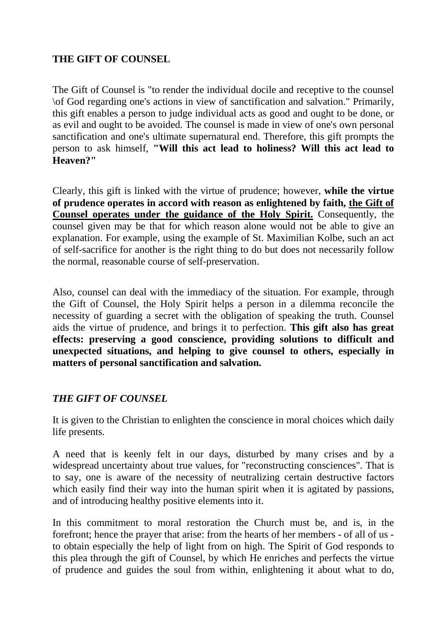## **THE GIFT OF COUNSEL**

The Gift of Counsel is "to render the individual docile and receptive to the counsel \of God regarding one's actions in view of sanctification and salvation." Primarily, this gift enables a person to judge individual acts as good and ought to be done, or as evil and ought to be avoided. The counsel is made in view of one's own personal sanctification and one's ultimate supernatural end. Therefore, this gift prompts the person to ask himself, **"Will this act lead to holiness? Will this act lead to Heaven?"** 

Clearly, this gift is linked with the virtue of prudence; however, **while the virtue of prudence operates in accord with reason as enlightened by faith, the Gift of Counsel operates under the guidance of the Holy Spirit.** Consequently, the counsel given may be that for which reason alone would not be able to give an explanation. For example, using the example of St. Maximilian Kolbe, such an act of self-sacrifice for another is the right thing to do but does not necessarily follow the normal, reasonable course of self-preservation.

Also, counsel can deal with the immediacy of the situation. For example, through the Gift of Counsel, the Holy Spirit helps a person in a dilemma reconcile the necessity of guarding a secret with the obligation of speaking the truth. Counsel aids the virtue of prudence, and brings it to perfection. **This gift also has great effects: preserving a good conscience, providing solutions to difficult and unexpected situations, and helping to give counsel to others, especially in matters of personal sanctification and salvation.** 

# *THE GIFT OF COUNSEL*

It is given to the Christian to enlighten the conscience in moral choices which daily life presents.

A need that is keenly felt in our days, disturbed by many crises and by a widespread uncertainty about true values, for "reconstructing consciences". That is to say, one is aware of the necessity of neutralizing certain destructive factors which easily find their way into the human spirit when it is agitated by passions, and of introducing healthy positive elements into it.

In this commitment to moral restoration the Church must be, and is, in the forefront; hence the prayer that arise: from the hearts of her members - of all of us to obtain especially the help of light from on high. The Spirit of God responds to this plea through the gift of Counsel, by which He enriches and perfects the virtue of prudence and guides the soul from within, enlightening it about what to do,